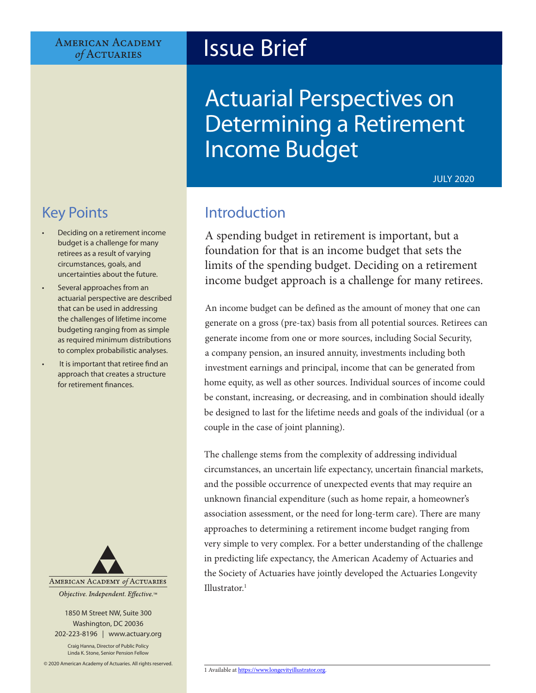#### **AMERICAN ACADEMY** of ACTUARIES

# Issue Brief

# Actuarial Perspectives on Determining a Retirement Income Budget

JULY 2020

# Key Points

- Deciding on a retirement income budget is a challenge for many retirees as a result of varying circumstances, goals, and uncertainties about the future.
- Several approaches from an actuarial perspective are described that can be used in addressing the challenges of lifetime income budgeting ranging from as simple as required minimum distributions to complex probabilistic analyses.
- It is important that retiree find an approach that creates a structure for retirement finances.



1850 M Street NW, Suite 300 Washington, DC 20036 202-223-8196 | [www.actuary.org](http://actuary.org)

Craig Hanna, Director of Public Policy Linda K. Stone, Senior Pension Fellow

© 2020 American Academy of Actuaries. All rights reserved.

## Introduction

A spending budget in retirement is important, but a foundation for that is an income budget that sets the limits of the spending budget. Deciding on a retirement income budget approach is a challenge for many retirees.

An income budget can be defined as the amount of money that one can generate on a gross (pre-tax) basis from all potential sources. Retirees can generate income from one or more sources, including Social Security, a company pension, an insured annuity, investments including both investment earnings and principal, income that can be generated from home equity, as well as other sources. Individual sources of income could be constant, increasing, or decreasing, and in combination should ideally be designed to last for the lifetime needs and goals of the individual (or a couple in the case of joint planning).

The challenge stems from the complexity of addressing individual circumstances, an uncertain life expectancy, uncertain financial markets, and the possible occurrence of unexpected events that may require an unknown financial expenditure (such as home repair, a homeowner's association assessment, or the need for long-term care). There are many approaches to determining a retirement income budget ranging from very simple to very complex. For a better understanding of the challenge in predicting life expectancy, the American Academy of Actuaries and the Society of Actuaries have jointly developed the Actuaries Longevity Illustrator.<sup>1</sup>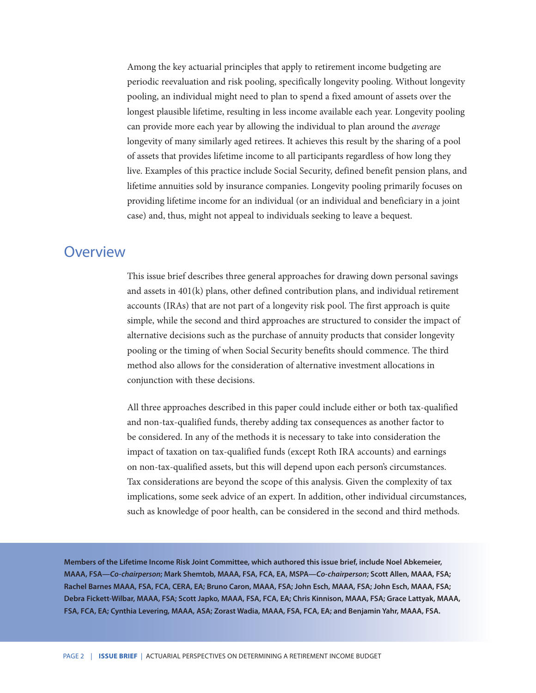Among the key actuarial principles that apply to retirement income budgeting are periodic reevaluation and risk pooling, specifically longevity pooling. Without longevity pooling, an individual might need to plan to spend a fixed amount of assets over the longest plausible lifetime, resulting in less income available each year. Longevity pooling can provide more each year by allowing the individual to plan around the *average* longevity of many similarly aged retirees. It achieves this result by the sharing of a pool of assets that provides lifetime income to all participants regardless of how long they live. Examples of this practice include Social Security, defined benefit pension plans, and lifetime annuities sold by insurance companies. Longevity pooling primarily focuses on providing lifetime income for an individual (or an individual and beneficiary in a joint case) and, thus, might not appeal to individuals seeking to leave a bequest.

#### **Overview**

This issue brief describes three general approaches for drawing down personal savings and assets in 401(k) plans, other defined contribution plans, and individual retirement accounts (IRAs) that are not part of a longevity risk pool. The first approach is quite simple, while the second and third approaches are structured to consider the impact of alternative decisions such as the purchase of annuity products that consider longevity pooling or the timing of when Social Security benefits should commence. The third method also allows for the consideration of alternative investment allocations in conjunction with these decisions.

All three approaches described in this paper could include either or both tax-qualified and non-tax-qualified funds, thereby adding tax consequences as another factor to be considered. In any of the methods it is necessary to take into consideration the impact of taxation on tax-qualified funds (except Roth IRA accounts) and earnings on non-tax-qualified assets, but this will depend upon each person's circumstances. Tax considerations are beyond the scope of this analysis. Given the complexity of tax implications, some seek advice of an expert. In addition, other individual circumstances, such as knowledge of poor health, can be considered in the second and third methods.

**Members of the Lifetime Income Risk Joint Committee, which authored this issue brief, include Noel Abkemeier, MAAA, FSA—***Co-chairperson***; Mark Shemtob, MAAA, FSA, FCA, EA, MSPA—***Co-chairperson***; Scott Allen, MAAA, FSA; Rachel Barnes MAAA, FSA, FCA, CERA, EA; Bruno Caron, MAAA, FSA; John Esch, MAAA, FSA; John Esch, MAAA, FSA; Debra Fickett-Wilbar, MAAA, FSA; Scott Japko, MAAA, FSA, FCA, EA; Chris Kinnison, MAAA, FSA; Grace Lattyak, MAAA, FSA, FCA, EA; Cynthia Levering, MAAA, ASA; Zorast Wadia, MAAA, FSA, FCA, EA; and Benjamin Yahr, MAAA, FSA.**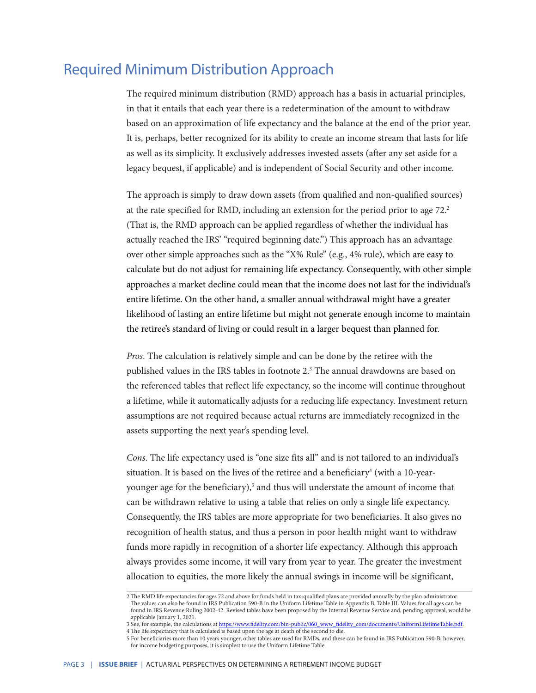### Required Minimum Distribution Approach

The required minimum distribution (RMD) approach has a basis in actuarial principles, in that it entails that each year there is a redetermination of the amount to withdraw based on an approximation of life expectancy and the balance at the end of the prior year. It is, perhaps, better recognized for its ability to create an income stream that lasts for life as well as its simplicity. It exclusively addresses invested assets (after any set aside for a legacy bequest, if applicable) and is independent of Social Security and other income.

The approach is simply to draw down assets (from qualified and non-qualified sources) at the rate specified for RMD, including an extension for the period prior to age  $72.2$ (That is, the RMD approach can be applied regardless of whether the individual has actually reached the IRS' "required beginning date.") This approach has an advantage over other simple approaches such as the "X% Rule" (e.g., 4% rule), which are easy to calculate but do not adjust for remaining life expectancy. Consequently, with other simple approaches a market decline could mean that the income does not last for the individual's entire lifetime. On the other hand, a smaller annual withdrawal might have a greater likelihood of lasting an entire lifetime but might not generate enough income to maintain the retiree's standard of living or could result in a larger bequest than planned for.

*Pros*. The calculation is relatively simple and can be done by the retiree with the published values in the IRS tables in footnote 2.3 The annual drawdowns are based on the referenced tables that reflect life expectancy, so the income will continue throughout a lifetime, while it automatically adjusts for a reducing life expectancy. Investment return assumptions are not required because actual returns are immediately recognized in the assets supporting the next year's spending level.

*Cons*. The life expectancy used is "one size fits all" and is not tailored to an individual's situation. It is based on the lives of the retiree and a beneficiary $^4$  (with a 10-yearyounger age for the beneficiary),<sup>5</sup> and thus will understate the amount of income that can be withdrawn relative to using a table that relies on only a single life expectancy. Consequently, the IRS tables are more appropriate for two beneficiaries. It also gives no recognition of health status, and thus a person in poor health might want to withdraw funds more rapidly in recognition of a shorter life expectancy. Although this approach always provides some income, it will vary from year to year. The greater the investment allocation to equities, the more likely the annual swings in income will be significant,

<sup>2</sup> The RMD life expectancies for ages 72 and above for funds held in tax-qualified plans are provided annually by the plan administrator. The values can also be found in IRS Publication 590-B in the Uniform Lifetime Table in Appendix B, Table III. Values for all ages can be found in IRS Revenue Ruling 2002-42. Revised tables have been proposed by the Internal Revenue Service and, pending approval, would be applicable January 1, 2021.

<sup>3</sup> See, for example, the calculations at [https://www.fidelity.com/bin-public/060\\_www\\_fidelity\\_com/documents/UniformLifetimeTable.pdf](https://www.fidelity.com/bin-public/060_www_fidelity_com/documents/UniformLifetimeTable.pdf). 4 The life expectancy that is calculated is based upon the age at death of the second to die.

<sup>5</sup> For beneficiaries more than 10 years younger, other tables are used for RMDs, and these can be found in IRS Publication 590-B; however, for income budgeting purposes, it is simplest to use the Uniform Lifetime Table.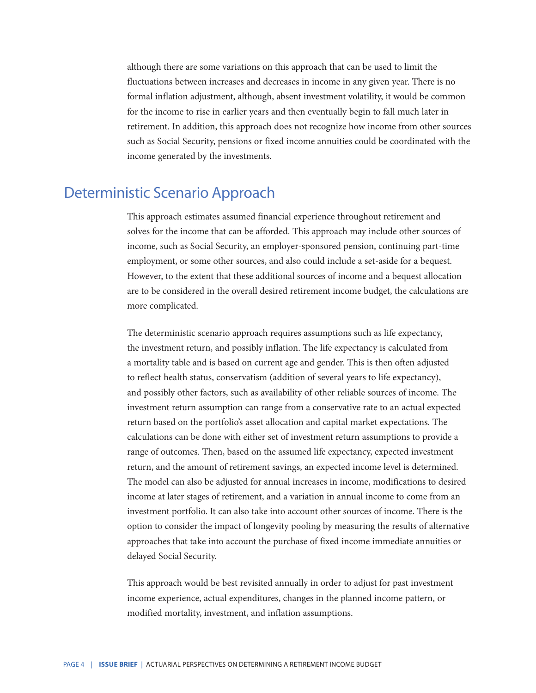although there are some variations on this approach that can be used to limit the fluctuations between increases and decreases in income in any given year. There is no formal inflation adjustment, although, absent investment volatility, it would be common for the income to rise in earlier years and then eventually begin to fall much later in retirement. In addition, this approach does not recognize how income from other sources such as Social Security, pensions or fixed income annuities could be coordinated with the income generated by the investments.

#### Deterministic Scenario Approach

This approach estimates assumed financial experience throughout retirement and solves for the income that can be afforded. This approach may include other sources of income, such as Social Security, an employer-sponsored pension, continuing part-time employment, or some other sources, and also could include a set-aside for a bequest. However, to the extent that these additional sources of income and a bequest allocation are to be considered in the overall desired retirement income budget, the calculations are more complicated.

The deterministic scenario approach requires assumptions such as life expectancy, the investment return, and possibly inflation. The life expectancy is calculated from a mortality table and is based on current age and gender. This is then often adjusted to reflect health status, conservatism (addition of several years to life expectancy), and possibly other factors, such as availability of other reliable sources of income. The investment return assumption can range from a conservative rate to an actual expected return based on the portfolio's asset allocation and capital market expectations. The calculations can be done with either set of investment return assumptions to provide a range of outcomes. Then, based on the assumed life expectancy, expected investment return, and the amount of retirement savings, an expected income level is determined. The model can also be adjusted for annual increases in income, modifications to desired income at later stages of retirement, and a variation in annual income to come from an investment portfolio. It can also take into account other sources of income. There is the option to consider the impact of longevity pooling by measuring the results of alternative approaches that take into account the purchase of fixed income immediate annuities or delayed Social Security.

This approach would be best revisited annually in order to adjust for past investment income experience, actual expenditures, changes in the planned income pattern, or modified mortality, investment, and inflation assumptions.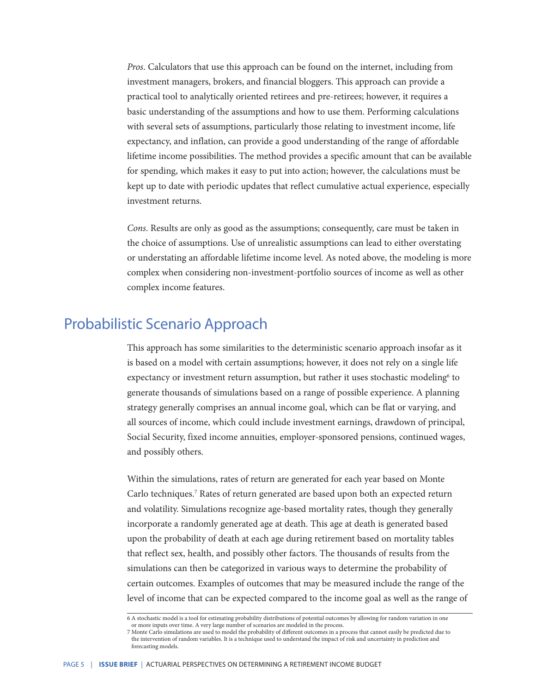*Pros*. Calculators that use this approach can be found on the internet, including from investment managers, brokers, and financial bloggers. This approach can provide a practical tool to analytically oriented retirees and pre-retirees; however, it requires a basic understanding of the assumptions and how to use them. Performing calculations with several sets of assumptions, particularly those relating to investment income, life expectancy, and inflation, can provide a good understanding of the range of affordable lifetime income possibilities. The method provides a specific amount that can be available for spending, which makes it easy to put into action; however, the calculations must be kept up to date with periodic updates that reflect cumulative actual experience, especially investment returns.

*Cons*. Results are only as good as the assumptions; consequently, care must be taken in the choice of assumptions. Use of unrealistic assumptions can lead to either overstating or understating an affordable lifetime income level. As noted above, the modeling is more complex when considering non-investment-portfolio sources of income as well as other complex income features.

#### Probabilistic Scenario Approach

This approach has some similarities to the deterministic scenario approach insofar as it is based on a model with certain assumptions; however, it does not rely on a single life expectancy or investment return assumption, but rather it uses stochastic modeling<sup>6</sup> to generate thousands of simulations based on a range of possible experience. A planning strategy generally comprises an annual income goal, which can be flat or varying, and all sources of income, which could include investment earnings, drawdown of principal, Social Security, fixed income annuities, employer-sponsored pensions, continued wages, and possibly others.

Within the simulations, rates of return are generated for each year based on Monte Carlo techniques.<sup>7</sup> Rates of return generated are based upon both an expected return and volatility. Simulations recognize age-based mortality rates, though they generally incorporate a randomly generated age at death. This age at death is generated based upon the probability of death at each age during retirement based on mortality tables that reflect sex, health, and possibly other factors. The thousands of results from the simulations can then be categorized in various ways to determine the probability of certain outcomes. Examples of outcomes that may be measured include the range of the level of income that can be expected compared to the income goal as well as the range of

<sup>6</sup> A stochastic model is a tool for estimating probability distributions of potential outcomes by allowing for random variation in one or more inputs over time. A very large number of scenarios are modeled in the process.

<sup>7</sup> Monte Carlo simulations are used to model the probability of different outcomes in a process that cannot easily be predicted due to the intervention of random variables. It is a technique used to understand the impact of risk and uncertainty in prediction and forecasting models.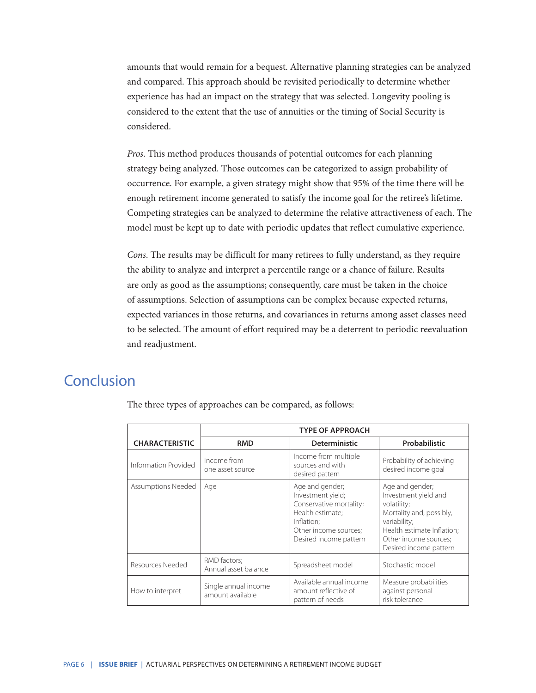amounts that would remain for a bequest. Alternative planning strategies can be analyzed and compared. This approach should be revisited periodically to determine whether experience has had an impact on the strategy that was selected. Longevity pooling is considered to the extent that the use of annuities or the timing of Social Security is considered.

*Pros*. This method produces thousands of potential outcomes for each planning strategy being analyzed. Those outcomes can be categorized to assign probability of occurrence. For example, a given strategy might show that 95% of the time there will be enough retirement income generated to satisfy the income goal for the retiree's lifetime. Competing strategies can be analyzed to determine the relative attractiveness of each. The model must be kept up to date with periodic updates that reflect cumulative experience.

*Cons*. The results may be difficult for many retirees to fully understand, as they require the ability to analyze and interpret a percentile range or a chance of failure. Results are only as good as the assumptions; consequently, care must be taken in the choice of assumptions. Selection of assumptions can be complex because expected returns, expected variances in those returns, and covariances in returns among asset classes need to be selected. The amount of effort required may be a deterrent to periodic reevaluation and readjustment.

### Conclusion

|                           | <b>TYPE OF APPROACH</b>                  |                                                                                                                                                      |                                                                                                                                                                                     |
|---------------------------|------------------------------------------|------------------------------------------------------------------------------------------------------------------------------------------------------|-------------------------------------------------------------------------------------------------------------------------------------------------------------------------------------|
| <b>CHARACTERISTIC</b>     | <b>RMD</b>                               | <b>Deterministic</b>                                                                                                                                 | Probabilistic                                                                                                                                                                       |
| Information Provided      | Income from<br>one asset source          | Income from multiple<br>sources and with<br>desired pattern                                                                                          | Probability of achieving<br>desired income goal                                                                                                                                     |
| <b>Assumptions Needed</b> | Age                                      | Age and gender;<br>Investment yield;<br>Conservative mortality;<br>Health estimate:<br>Inflation;<br>Other income sources;<br>Desired income pattern | Age and gender;<br>Investment yield and<br>volatility;<br>Mortality and, possibly,<br>variability;<br>Health estimate Inflation;<br>Other income sources;<br>Desired income pattern |
| Resources Needed          | RMD factors;<br>Annual asset balance     | Spreadsheet model                                                                                                                                    | Stochastic model                                                                                                                                                                    |
| How to interpret          | Single annual income<br>amount available | Available annual income<br>amount reflective of<br>pattern of needs                                                                                  | Measure probabilities<br>against personal<br>risk tolerance                                                                                                                         |

The three types of approaches can be compared, as follows: